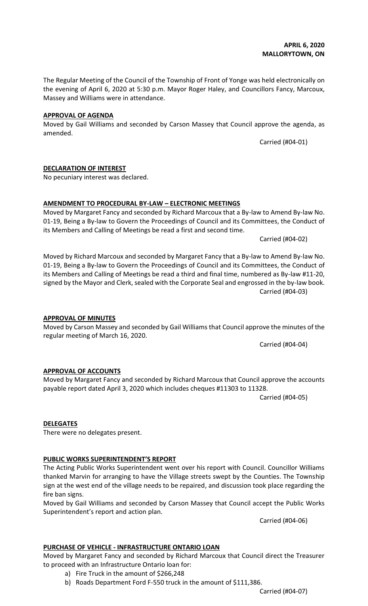Carried (#04-07)

#### **APRIL 6, 2020 MALLORYTOWN, ON**

The Regular Meeting of the Council of the Township of Front of Yonge was held electronically on the evening of April 6, 2020 at 5:30 p.m. Mayor Roger Haley, and Councillors Fancy, Marcoux, Massey and Williams were in attendance.

#### **APPROVAL OF AGENDA**

**DECLARATION OF INTEREST**

No pecuniary interest was declared.

Moved by Gail Williams and seconded by Carson Massey that Council approve the agenda, as amended.

Carried (#04-01)

its Members and Calling of Meetings be read a first and second time. Carried (#04-02)

Moved by Richard Marcoux and seconded by Margaret Fancy that a By-law to Amend By-law No. 01-19, Being a By-law to Govern the Proceedings of Council and its Committees, the Conduct of its Members and Calling of Meetings be read a third and final time, numbered as By-law #11-20, signed by the Mayor and Clerk, sealed with the Corporate Seal and engrossed in the by-law book. Carried (#04-03)

#### **APPROVAL OF MINUTES**

# regular meeting of March 16, 2020.

payable report dated April 3, 2020 which includes cheques #11303 to 11328.

**AMENDMENT TO PROCEDURAL BY-LAW – ELECTRONIC MEETINGS**

### **APPROVAL OF ACCOUNTS**

# **DELEGATES**

There were no delegates present.

#### **PUBLIC WORKS SUPERINTENDENT'S REPORT**

The Acting Public Works Superintendent went over his report with Council. Councillor Williams thanked Marvin for arranging to have the Village streets swept by the Counties. The Township sign at the west end of the village needs to be repaired, and discussion took place regarding the fire ban signs.

Moved by Margaret Fancy and seconded by Richard Marcoux that Council approve the accounts

Moved by Gail Williams and seconded by Carson Massey that Council accept the Public Works Superintendent's report and action plan.

Carried (#04-06)

### **PURCHASE OF VEHICLE - INFRASTRUCTURE ONTARIO LOAN**

Moved by Margaret Fancy and seconded by Richard Marcoux that Council direct the Treasurer to proceed with an Infrastructure Ontario loan for:

- a) Fire Truck in the amount of \$266,248
- b) Roads Department Ford F-550 truck in the amount of \$111,386.

Moved by Carson Massey and seconded by Gail Williams that Council approve the minutes of the

Carried (#04-04)

Carried (#04-05)

Moved by Margaret Fancy and seconded by Richard Marcoux that a By-law to Amend By-law No. 01-19, Being a By-law to Govern the Proceedings of Council and its Committees, the Conduct of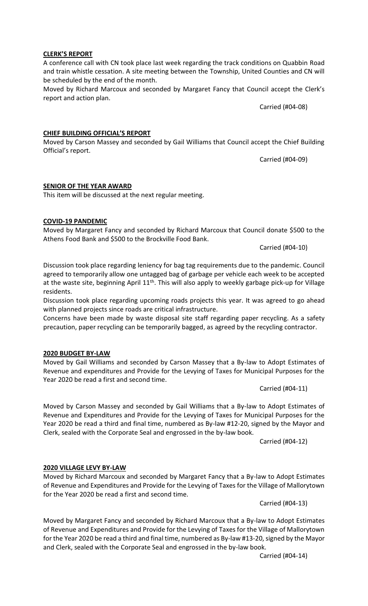#### Carried (#04-14)

Carried (#04-13)

### **2020 VILLAGE LEVY BY-LAW**

Moved by Richard Marcoux and seconded by Margaret Fancy that a By-law to Adopt Estimates of Revenue and Expenditures and Provide for the Levying of Taxes for the Village of Mallorytown for the Year 2020 be read a first and second time.

Moved by Margaret Fancy and seconded by Richard Marcoux that a By-law to Adopt Estimates of Revenue and Expenditures and Provide for the Levying of Taxes for the Village of Mallorytown for the Year 2020 be read a third and final time, numbered as By-law #13-20, signed by the Mayor

and Clerk, sealed with the Corporate Seal and engrossed in the by-law book.

Carried (#04-12)

Carried (#04-11)

Moved by Carson Massey and seconded by Gail Williams that a By-law to Adopt Estimates of Revenue and Expenditures and Provide for the Levying of Taxes for Municipal Purposes for the Year 2020 be read a third and final time, numbered as By-law #12-20, signed by the Mayor and

precaution, paper recycling can be temporarily bagged, as agreed by the recycling contractor.

**CHIEF BUILDING OFFICIAL'S REPORT**

Moved by Carson Massey and seconded by Gail Williams that Council accept the Chief Building Official's report.

Carried (#04-09)

#### **SENIOR OF THE YEAR AWARD**

This item will be discussed at the next regular meeting.

#### **COVID-19 PANDEMIC**

Moved by Margaret Fancy and seconded by Richard Marcoux that Council donate \$500 to the Athens Food Bank and \$500 to the Brockville Food Bank.

Carried (#04-10)

Discussion took place regarding leniency for bag tag requirements due to the pandemic. Council agreed to temporarily allow one untagged bag of garbage per vehicle each week to be accepted at the waste site, beginning April 11<sup>th</sup>. This will also apply to weekly garbage pick-up for Village residents.

Discussion took place regarding upcoming roads projects this year. It was agreed to go ahead

with planned projects since roads are critical infrastructure. Concerns have been made by waste disposal site staff regarding paper recycling. As a safety

**2020 BUDGET BY-LAW** Moved by Gail Williams and seconded by Carson Massey that a By-law to Adopt Estimates of Revenue and expenditures and Provide for the Levying of Taxes for Municipal Purposes for the Year 2020 be read a first and second time.

Clerk, sealed with the Corporate Seal and engrossed in the by-law book.

A conference call with CN took place last week regarding the track conditions on Quabbin Road and train whistle cessation. A site meeting between the Township, United Counties and CN will be scheduled by the end of the month.

Moved by Richard Marcoux and seconded by Margaret Fancy that Council accept the Clerk's report and action plan.

Carried (#04-08)

# **CLERK'S REPORT**